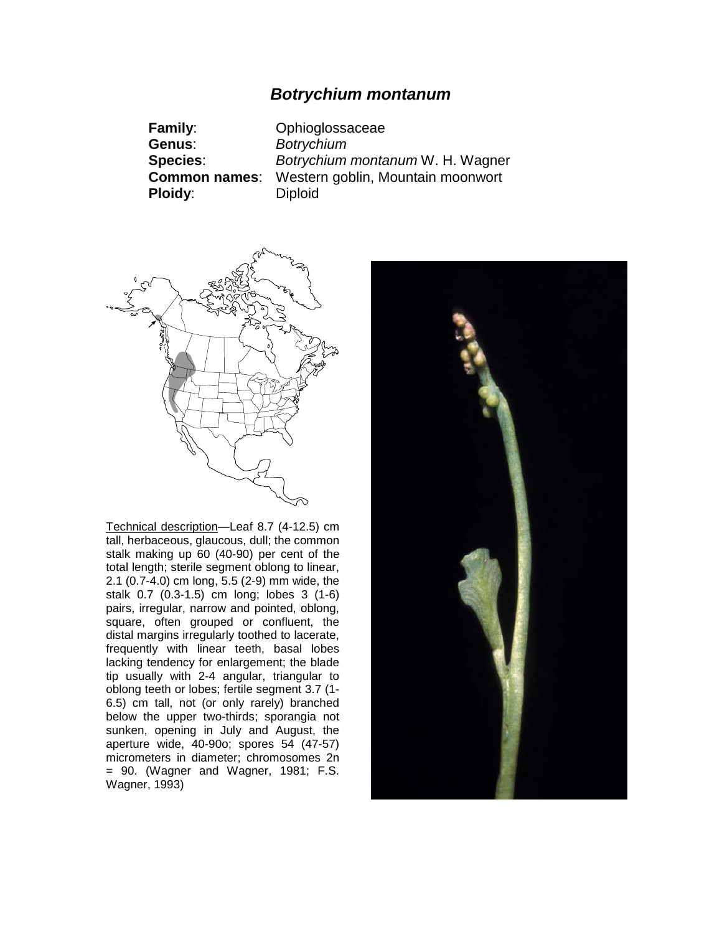# *Botrychium montanum*

**Family**: Ophioglossaceae **Genus**: *Botrychium* **Species**: *Botrychium montanum* W. H. Wagner **Common names**: Western goblin, Mountain moonwort **Ploidy:** Diploid



Technical description—Leaf 8.7 (4-12.5) cm tall, herbaceous, glaucous, dull; the common stalk making up 60 (40-90) per cent of the total length; sterile segment oblong to linear, 2.1 (0.7-4.0) cm long, 5.5 (2-9) mm wide, the stalk 0.7 (0.3-1.5) cm long; lobes 3 (1-6) pairs, irregular, narrow and pointed, oblong, square, often grouped or confluent, the distal margins irregularly toothed to lacerate, frequently with linear teeth, basal lobes lacking tendency for enlargement; the blade tip usually with 2-4 angular, triangular to oblong teeth or lobes; fertile segment 3.7 (1- 6.5) cm tall, not (or only rarely) branched below the upper two-thirds; sporangia not sunken, opening in July and August, the aperture wide, 40-90o; spores 54 (47-57) micrometers in diameter; chromosomes 2n = 90. (Wagner and Wagner, 1981; F.S. Wagner, 1993)

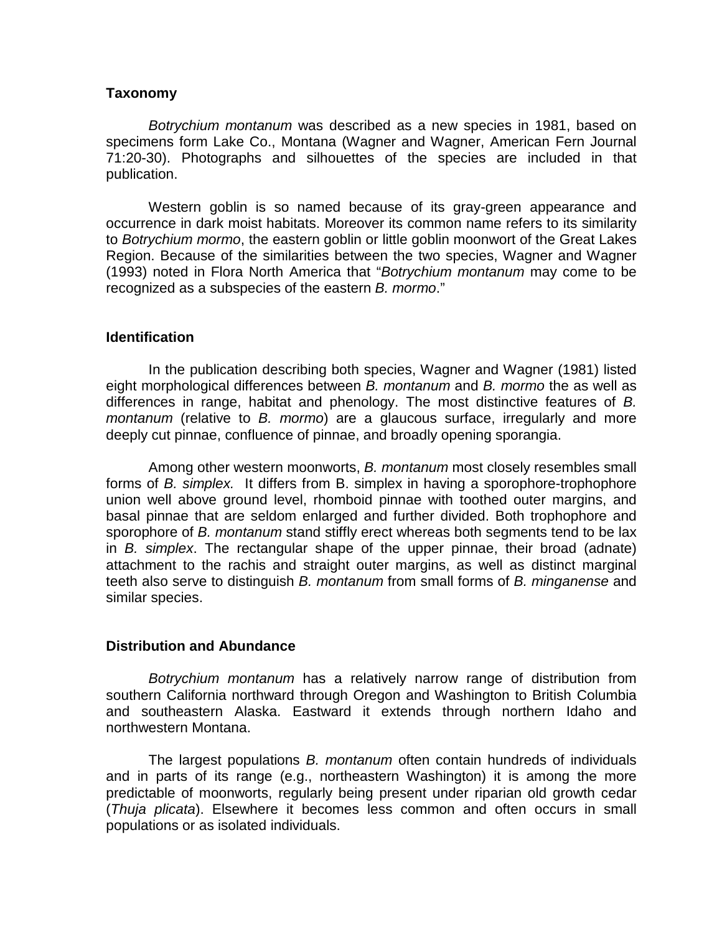## **Taxonomy**

*Botrychium montanum* was described as a new species in 1981, based on specimens form Lake Co., Montana (Wagner and Wagner, American Fern Journal 71:20-30). Photographs and silhouettes of the species are included in that publication.

Western goblin is so named because of its gray-green appearance and occurrence in dark moist habitats. Moreover its common name refers to its similarity to *Botrychium mormo*, the eastern goblin or little goblin moonwort of the Great Lakes Region. Because of the similarities between the two species, Wagner and Wagner (1993) noted in Flora North America that "*Botrychium montanum* may come to be recognized as a subspecies of the eastern *B. mormo*."

## **Identification**

In the publication describing both species, Wagner and Wagner (1981) listed eight morphological differences between *B. montanum* and *B. mormo* the as well as differences in range, habitat and phenology. The most distinctive features of *B. montanum* (relative to *B. mormo*) are a glaucous surface, irregularly and more deeply cut pinnae, confluence of pinnae, and broadly opening sporangia.

Among other western moonworts, *B. montanum* most closely resembles small forms of *B. simplex.* It differs from B. simplex in having a sporophore-trophophore union well above ground level, rhomboid pinnae with toothed outer margins, and basal pinnae that are seldom enlarged and further divided. Both trophophore and sporophore of *B. montanum* stand stiffly erect whereas both segments tend to be lax in *B. simplex*. The rectangular shape of the upper pinnae, their broad (adnate) attachment to the rachis and straight outer margins, as well as distinct marginal teeth also serve to distinguish *B. montanum* from small forms of *B. minganense* and similar species.

## **Distribution and Abundance**

*Botrychium montanum* has a relatively narrow range of distribution from southern California northward through Oregon and Washington to British Columbia and southeastern Alaska. Eastward it extends through northern Idaho and northwestern Montana.

The largest populations *B. montanum* often contain hundreds of individuals and in parts of its range (e.g., northeastern Washington) it is among the more predictable of moonworts, regularly being present under riparian old growth cedar (*Thuja plicata*). Elsewhere it becomes less common and often occurs in small populations or as isolated individuals.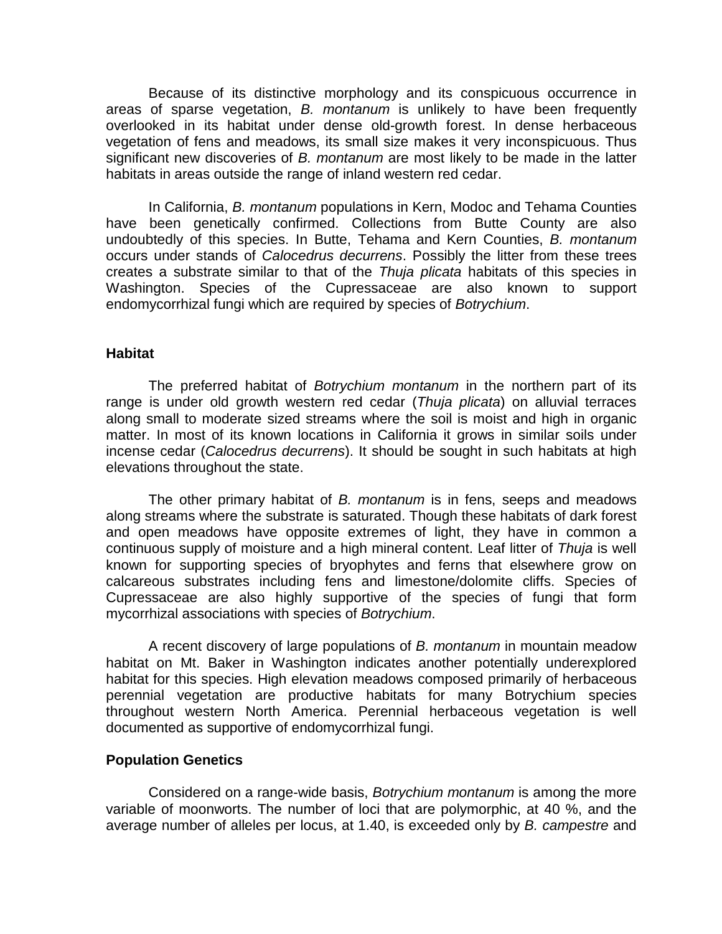Because of its distinctive morphology and its conspicuous occurrence in areas of sparse vegetation, *B. montanum* is unlikely to have been frequently overlooked in its habitat under dense old-growth forest. In dense herbaceous vegetation of fens and meadows, its small size makes it very inconspicuous. Thus significant new discoveries of *B. montanum* are most likely to be made in the latter habitats in areas outside the range of inland western red cedar.

In California, *B. montanum* populations in Kern, Modoc and Tehama Counties have been genetically confirmed. Collections from Butte County are also undoubtedly of this species. In Butte, Tehama and Kern Counties, *B. montanum* occurs under stands of *Calocedrus decurrens*. Possibly the litter from these trees creates a substrate similar to that of the *Thuja plicata* habitats of this species in Washington. Species of the Cupressaceae are also known to support endomycorrhizal fungi which are required by species of *Botrychium*.

## **Habitat**

The preferred habitat of *Botrychium montanum* in the northern part of its range is under old growth western red cedar (*Thuja plicata*) on alluvial terraces along small to moderate sized streams where the soil is moist and high in organic matter. In most of its known locations in California it grows in similar soils under incense cedar (*Calocedrus decurrens*). It should be sought in such habitats at high elevations throughout the state.

The other primary habitat of *B. montanum* is in fens, seeps and meadows along streams where the substrate is saturated. Though these habitats of dark forest and open meadows have opposite extremes of light, they have in common a continuous supply of moisture and a high mineral content. Leaf litter of *Thuja* is well known for supporting species of bryophytes and ferns that elsewhere grow on calcareous substrates including fens and limestone/dolomite cliffs. Species of Cupressaceae are also highly supportive of the species of fungi that form mycorrhizal associations with species of *Botrychium*.

A recent discovery of large populations of *B. montanum* in mountain meadow habitat on Mt. Baker in Washington indicates another potentially underexplored habitat for this species. High elevation meadows composed primarily of herbaceous perennial vegetation are productive habitats for many Botrychium species throughout western North America. Perennial herbaceous vegetation is well documented as supportive of endomycorrhizal fungi.

#### **Population Genetics**

Considered on a range-wide basis, *Botrychium montanum* is among the more variable of moonworts. The number of loci that are polymorphic, at 40 %, and the average number of alleles per locus, at 1.40, is exceeded only by *B. campestre* and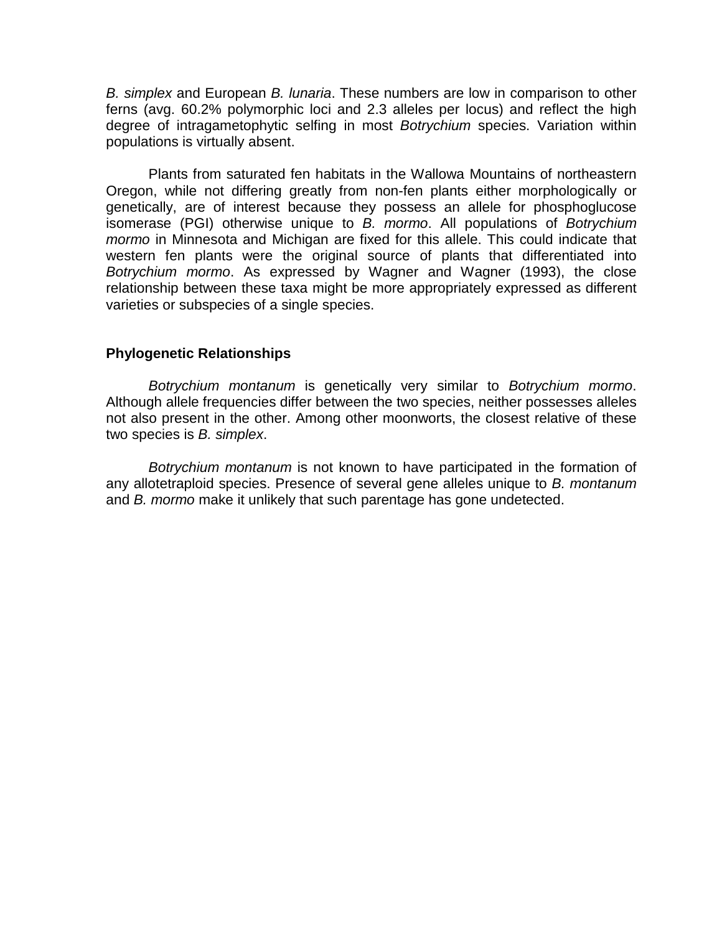*B. simplex* and European *B. lunaria*. These numbers are low in comparison to other ferns (avg. 60.2% polymorphic loci and 2.3 alleles per locus) and reflect the high degree of intragametophytic selfing in most *Botrychium* species. Variation within populations is virtually absent.

Plants from saturated fen habitats in the Wallowa Mountains of northeastern Oregon, while not differing greatly from non-fen plants either morphologically or genetically, are of interest because they possess an allele for phosphoglucose isomerase (PGI) otherwise unique to *B. mormo*. All populations of *Botrychium mormo* in Minnesota and Michigan are fixed for this allele. This could indicate that western fen plants were the original source of plants that differentiated into *Botrychium mormo*. As expressed by Wagner and Wagner (1993), the close relationship between these taxa might be more appropriately expressed as different varieties or subspecies of a single species.

## **Phylogenetic Relationships**

*Botrychium montanum* is genetically very similar to *Botrychium mormo*. Although allele frequencies differ between the two species, neither possesses alleles not also present in the other. Among other moonworts, the closest relative of these two species is *B. simplex*.

*Botrychium montanum* is not known to have participated in the formation of any allotetraploid species. Presence of several gene alleles unique to *B. montanum* and *B. mormo* make it unlikely that such parentage has gone undetected.